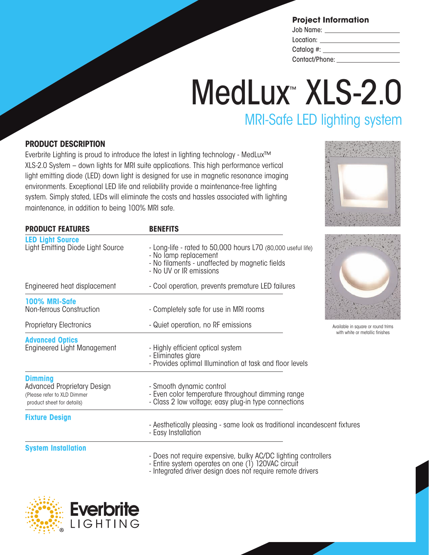| Job Name:                           |  |
|-------------------------------------|--|
| Location:                           |  |
| Catalog #: $\overline{\phantom{a}}$ |  |
| Contact/Phone:                      |  |

## MedLux<sup>™</sup> XLS-2.0 MRI-Safe LED lighting system

### **PRODUCT DESCRIPTION**

Everbrite Lighting is proud to introduce the latest in lighting technology - MedLux™ XLS-2.0 System – down lights for MRI suite applications. This high performance vertical light emitting diode (LED) down light is designed for use in magnetic resonance imaging environments. Exceptional LED life and reliability provide a maintenance-free lighting system. Simply stated, LEDs will eliminate the costs and hassles associated with lighting maintenance, in addition to being 100% MRI safe.

| <b>PRODUCT FEATURES</b>                                                                                           | <b>BENEFITS</b>                                                                                                                                                                               |                                   |  |
|-------------------------------------------------------------------------------------------------------------------|-----------------------------------------------------------------------------------------------------------------------------------------------------------------------------------------------|-----------------------------------|--|
| <b>LED Light Source</b><br>Light Emitting Diode Light Source                                                      | - Long-life - rated to 50,000 hours L70 (80,000 useful life)<br>- No lamp replacement<br>- No filaments - unaffected by magnetic fields<br>- No UV or IR emissions                            |                                   |  |
| Engineered heat displacement                                                                                      | - Cool operation, prevents premature LED failures                                                                                                                                             |                                   |  |
| 100% MRI-Safe<br>Non-ferrous Construction                                                                         | - Completely safe for use in MRI rooms                                                                                                                                                        |                                   |  |
| <b>Proprietary Electronics</b>                                                                                    | - Quiet operation, no RF emissions                                                                                                                                                            | Available in squ<br>with white or |  |
| <b>Advanced Optics</b><br>Engineered Light Management                                                             | - Highly efficient optical system<br>- Eliminates glare<br>- Provides optimal Illumination at task and floor levels                                                                           |                                   |  |
| <b>Dimming</b><br><b>Advanced Proprietary Design</b><br>(Please refer to XLD Dimmer<br>product sheet for details) | - Smooth dynamic control<br>- Even color temperature throughout dimming range<br>- Class 2 low voltage; easy plug-in type connections                                                         |                                   |  |
| <b>Fixture Design</b>                                                                                             | - Aesthetically pleasing - same look as traditional incandescent fixtures<br>- Easy Installation                                                                                              |                                   |  |
| <b>System Installation</b>                                                                                        | - Does not require expensive, bulky AC/DC lighting controllers<br>$L_{\text{at}}$ $\alpha$ and $\alpha$ and $\alpha$ and $\alpha$ and $\beta$ $\beta$ $\beta$ $\beta$ $\beta$ $\beta$ $\beta$ |                                   |  |

- Entire system operates on one (1) 120VAC circuit









able in square or round trims h white or metallic finishes